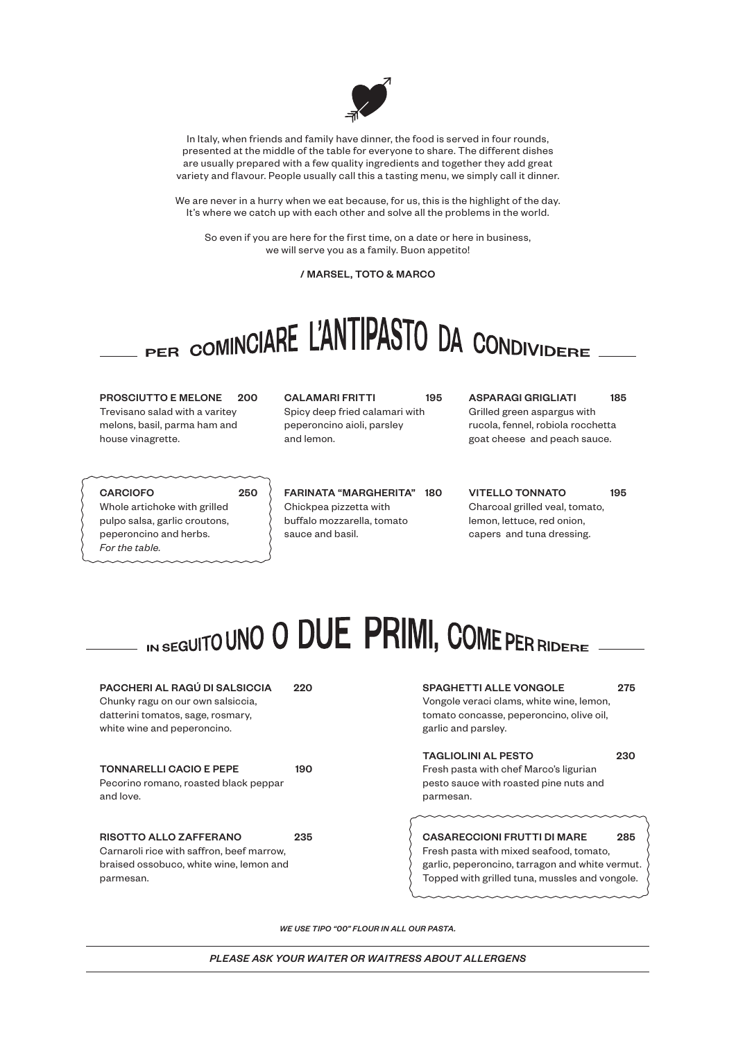

In Italy, when friends and family have dinner, the food is served in four rounds, presented at the middle of the table for everyone to share. The different dishes are usually prepared with a few quality ingredients and together they add great variety and flavour. People usually call this a tasting menu, we simply call it dinner.

We are never in a hurry when we eat because, for us, this is the highlight of the day. It's where we catch up with each other and solve all the problems in the world.

So even if you are here for the first time, on a date or here in business, we will serve you as a family. Buon appetito!

/ MARSEL, TOTO & MARCO

# \_ PER COMINCIARE L'ANTIPASTO DA CONDIVIDERE \_

PROSCILITTO F MELONE 200 Trevisano salad with a varitey melons, basil, parma ham and house vinagrette.

CALAMARI FRITTI 195 Spicy deep fried calamari with peperoncino aioli, parsley and lemon.

ASPARAGI GRIGLIATI 185 Grilled green aspargus with rucola, fennel, robiola rocchetta goat cheese and peach sauce.

CARCIOFO 250 Whole artichoke with grilled pulpo salsa, garlic croutons, peperoncino and herbs. *For the table.*

FARINATA "MARGHERITA" 180 Chickpea pizzetta with buffalo mozzarella, tomato sauce and basil.

VITELLO TONNATO 195 Charcoal grilled veal, tomato, lemon, lettuce, red onion, capers and tuna dressing.

## IN SEGUITO UNO O DUE PRIMI, COME PER RIDERE

### PACCHERI AL RAGÚ DI SALSICCIA 220

Chunky ragu on our own salsiccia, datterini tomatos, sage, rosmary, white wine and peperoncino.

#### TONNARELLI CACIO E PEPE 190

Pecorino romano, roasted black peppar and love.

#### RISOTTO ALLO ZAFFERANO 235

Carnaroli rice with saffron, beef marrow, braised ossobuco, white wine, lemon and parmesan.

SPAGHETTI ALLE VONGOLE 275

Vongole veraci clams, white wine, lemon, tomato concasse, peperoncino, olive oil, garlic and parsley.

#### TAGLIOLINI AL PESTO 230

Fresh pasta with chef Marco's ligurian pesto sauce with roasted pine nuts and parmesan.

#### CASARECCIONI FRUTTI DI MARE 285

Fresh pasta with mixed seafood, tomato, garlic, peperoncino, tarragon and white vermut. Topped with grilled tuna, mussles and vongole.

*WE USE TIPO "00" FLOUR IN ALL OUR PASTA.*